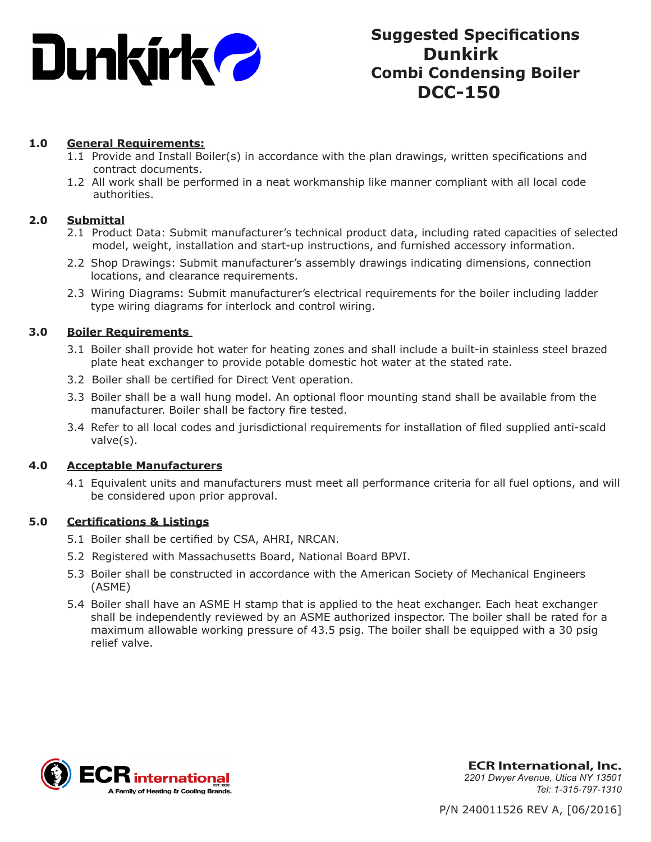

# **Suggested Specifications Dunkirk Combi Condensing Boiler DCC-150**

# **1.0 General Requirements:**

- 1.1 Provide and Install Boiler(s) in accordance with the plan drawings, written specifications and contract documents.
- 1.2 All work shall be performed in a neat workmanship like manner compliant with all local code authorities.

# **2.0 Submittal**

- 2.1 Product Data: Submit manufacturer's technical product data, including rated capacities of selected model, weight, installation and start-up instructions, and furnished accessory information.
- 2.2 Shop Drawings: Submit manufacturer's assembly drawings indicating dimensions, connection locations, and clearance requirements.
- 2.3 Wiring Diagrams: Submit manufacturer's electrical requirements for the boiler including ladder type wiring diagrams for interlock and control wiring.

# **3.0 Boiler Requirements**

- 3.1 Boiler shall provide hot water for heating zones and shall include a built-in stainless steel brazed plate heat exchanger to provide potable domestic hot water at the stated rate.
- 3.2 Boiler shall be certified for Direct Vent operation.
- 3.3 Boiler shall be a wall hung model. An optional floor mounting stand shall be available from the manufacturer. Boiler shall be factory fire tested.
- 3.4 Refer to all local codes and jurisdictional requirements for installation of filed supplied anti-scald valve(s).

#### **4.0 Acceptable Manufacturers**

4.1 Equivalent units and manufacturers must meet all performance criteria for all fuel options, and will be considered upon prior approval.

# **5.0 Certifications & Listings**

- 5.1 Boiler shall be certified by CSA, AHRI, NRCAN.
- 5.2 Registered with Massachusetts Board, National Board BPVI.
- 5.3 Boiler shall be constructed in accordance with the American Society of Mechanical Engineers (ASME)
- 5.4 Boiler shall have an ASME H stamp that is applied to the heat exchanger. Each heat exchanger shall be independently reviewed by an ASME authorized inspector. The boiler shall be rated for a maximum allowable working pressure of 43.5 psig. The boiler shall be equipped with a 30 psig relief valve.



**ECR International, Inc.** *2201 Dwyer Avenue, Utica NY 13501 Tel: 1-315-797-1310*

P/N 240011526 REV A, [06/2016]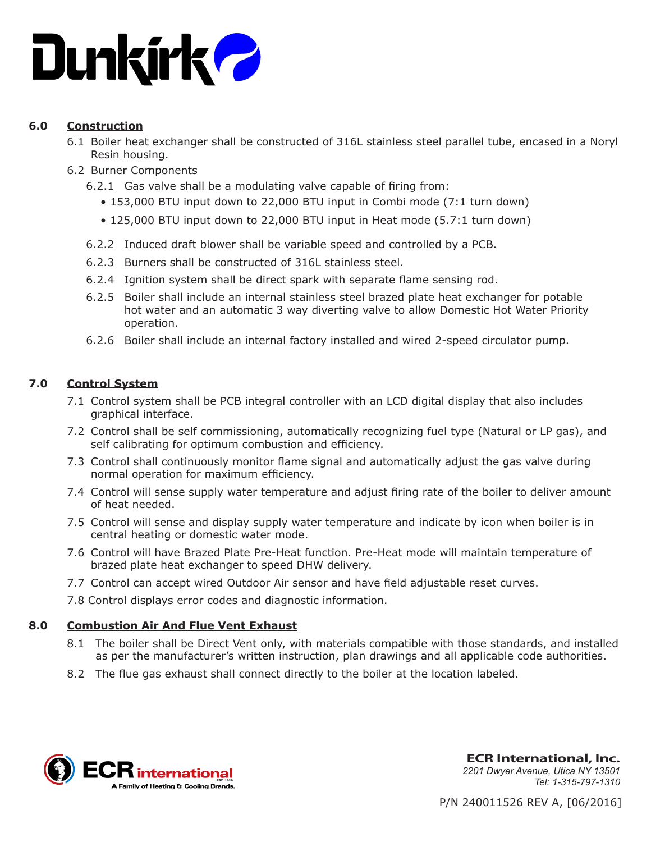

# **6.0 Construction**

- 6.1 Boiler heat exchanger shall be constructed of 316L stainless steel parallel tube, encased in a Noryl Resin housing.
- 6.2 Burner Components
	- 6.2.1 Gas valve shall be a modulating valve capable of firing from:
		- 153,000 BTU input down to 22,000 BTU input in Combi mode (7:1 turn down)
		- 125,000 BTU input down to 22,000 BTU input in Heat mode (5.7:1 turn down)
	- 6.2.2 Induced draft blower shall be variable speed and controlled by a PCB.
	- 6.2.3 Burners shall be constructed of 316L stainless steel.
	- 6.2.4 Ignition system shall be direct spark with separate flame sensing rod.
	- 6.2.5 Boiler shall include an internal stainless steel brazed plate heat exchanger for potable hot water and an automatic 3 way diverting valve to allow Domestic Hot Water Priority operation.
	- 6.2.6 Boiler shall include an internal factory installed and wired 2-speed circulator pump.

# **7.0 Control System**

- 7.1 Control system shall be PCB integral controller with an LCD digital display that also includes graphical interface.
- 7.2 Control shall be self commissioning, automatically recognizing fuel type (Natural or LP gas), and self calibrating for optimum combustion and efficiency.
- 7.3 Control shall continuously monitor flame signal and automatically adjust the gas valve during normal operation for maximum efficiency.
- 7.4 Control will sense supply water temperature and adjust firing rate of the boiler to deliver amount of heat needed.
- 7.5 Control will sense and display supply water temperature and indicate by icon when boiler is in central heating or domestic water mode.
- 7.6 Control will have Brazed Plate Pre-Heat function. Pre-Heat mode will maintain temperature of brazed plate heat exchanger to speed DHW delivery.
- 7.7 Control can accept wired Outdoor Air sensor and have field adjustable reset curves.
- 7.8 Control displays error codes and diagnostic information.

# **8.0 Combustion Air And Flue Vent Exhaust**

- 8.1 The boiler shall be Direct Vent only, with materials compatible with those standards, and installed as per the manufacturer's written instruction, plan drawings and all applicable code authorities.
- 8.2 The flue gas exhaust shall connect directly to the boiler at the location labeled.



**ECR International, Inc.** *2201 Dwyer Avenue, Utica NY 13501 Tel: 1-315-797-1310*